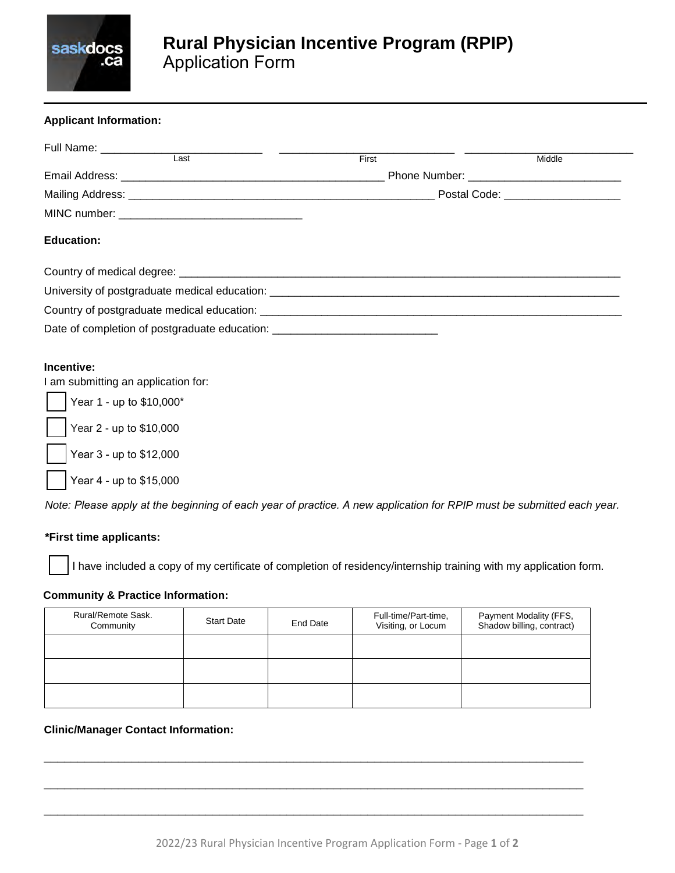

## **Applicant Information:**

| Full Name: Last                                                                                                                                                                                                                |       |                                     |  |
|--------------------------------------------------------------------------------------------------------------------------------------------------------------------------------------------------------------------------------|-------|-------------------------------------|--|
|                                                                                                                                                                                                                                | First | Middle                              |  |
|                                                                                                                                                                                                                                |       |                                     |  |
|                                                                                                                                                                                                                                |       | Postal Code: ______________________ |  |
|                                                                                                                                                                                                                                |       |                                     |  |
| <b>Education:</b>                                                                                                                                                                                                              |       |                                     |  |
|                                                                                                                                                                                                                                |       |                                     |  |
| University of postgraduate medical education: enterprise and all proportional control of the control of the control of the control of the control of the control of the control of the control of the control of the control o |       |                                     |  |
|                                                                                                                                                                                                                                |       |                                     |  |
| Date of completion of postgraduate education: __________________________________                                                                                                                                               |       |                                     |  |

#### **Incentive:**

I am submitting an application for:

| $\vert$ Year 1 - up to \$10,000*      |
|---------------------------------------|
| $\frac{1}{2}$ Year 2 - up to \$10,000 |
| Year 3 - up to \$12,000               |
| Year 4 - up to \$15,000               |

*Note: Please apply at the beginning of each year of practice. A new application for RPIP must be submitted each year.* 

#### **\*First time applicants:**

I have included a copy of my certificate of completion of residency/internship training with my application form.

#### **Community & Practice Information:**

| Rural/Remote Sask.<br>Community | <b>Start Date</b> | End Date | Full-time/Part-time,<br>Visiting, or Locum | Payment Modality (FFS,<br>Shadow billing, contract) |
|---------------------------------|-------------------|----------|--------------------------------------------|-----------------------------------------------------|
|                                 |                   |          |                                            |                                                     |
|                                 |                   |          |                                            |                                                     |
|                                 |                   |          |                                            |                                                     |

\_\_\_\_\_\_\_\_\_\_\_\_\_\_\_\_\_\_\_\_\_\_\_\_\_\_\_\_\_\_\_\_\_\_\_\_\_\_\_\_\_\_\_\_\_\_\_\_\_\_\_\_\_\_\_\_\_\_\_\_\_\_\_\_\_\_\_\_\_\_\_\_\_\_\_\_\_\_\_\_

\_\_\_\_\_\_\_\_\_\_\_\_\_\_\_\_\_\_\_\_\_\_\_\_\_\_\_\_\_\_\_\_\_\_\_\_\_\_\_\_\_\_\_\_\_\_\_\_\_\_\_\_\_\_\_\_\_\_\_\_\_\_\_\_\_\_\_\_\_\_\_\_\_\_\_\_\_\_\_\_

\_\_\_\_\_\_\_\_\_\_\_\_\_\_\_\_\_\_\_\_\_\_\_\_\_\_\_\_\_\_\_\_\_\_\_\_\_\_\_\_\_\_\_\_\_\_\_\_\_\_\_\_\_\_\_\_\_\_\_\_\_\_\_\_\_\_\_\_\_\_\_\_\_\_\_\_\_\_\_\_

### **Clinic/Manager Contact Information:**